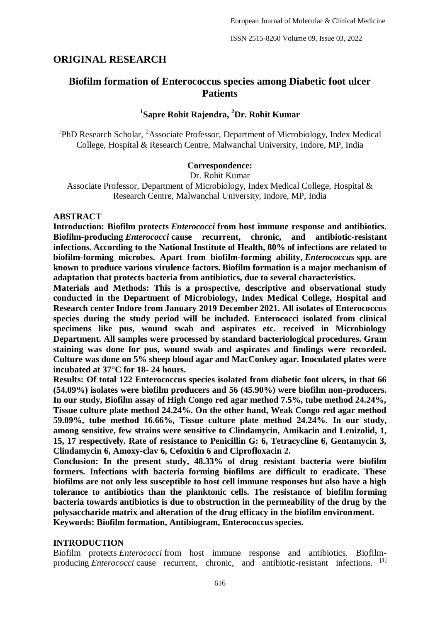# **ORIGINAL RESEARCH**

# **Biofilm formation of Enterococcus species among Diabetic foot ulcer Patients**

## **1 Sapre Rohit Rajendra, <sup>2</sup>Dr. Rohit Kumar**

<sup>1</sup>PhD Research Scholar, <sup>2</sup>Associate Professor, Department of Microbiology, Index Medical College, Hospital & Research Centre, Malwanchal University, Indore, MP, India

#### **Correspondence:**

Dr. Rohit Kumar

Associate Professor, Department of Microbiology, Index Medical College, Hospital & Research Centre, Malwanchal University, Indore, MP, India

### **ABSTRACT**

**Introduction: Biofilm protects** *Enterococci* **from host immune response and antibiotics. Biofilm-producing** *Enterococci* **cause recurrent, chronic, and antibiotic-resistant infections. According to the National Institute of Health, 80% of infections are related to biofilm-forming microbes. Apart from biofilm-forming ability,** *Enterococcus* **spp***.* **are known to produce various virulence factors. Biofilm formation is a major mechanism of adaptation that protects bacteria from antibiotics, due to several characteristics.** 

**Materials and Methods: This is a prospective, descriptive and observational study conducted in the Department of Microbiology, Index Medical College, Hospital and Research center Indore from January 2019 December 2021. All isolates of Enterococcus species during the study period will be included. Enterococci isolated from clinical specimens like pus, wound swab and aspirates etc. received in Microbiology Department. All samples were processed by standard bacteriological procedures. Gram staining was done for pus, wound swab and aspirates and findings were recorded. Culture was done on 5% sheep blood agar and MacConkey agar. Inoculated plates were incubated at 37°C for 18- 24 hours.** 

**Results: Of total 122 Enterococcus species isolated from diabetic foot ulcers, in that 66 (54.09%) isolates were biofilm producers and 56 (45.90%) were biofilm non-producers. In our study, Biofilm assay of High Congo red agar method 7.5%, tube method 24.24%, Tissue culture plate method 24.24%. On the other hand, Weak Congo red agar method 59.09%, tube method 16.66%, Tissue culture plate method 24.24%. In our study, among sensitive, few strains were sensitive to Clindamycin, Amikacin and Lenizolid, 1, 15, 17 respectively. Rate of resistance to Penicillin G: 6, Tetracycline 6, Gentamycin 3, Clindamycin 6, Amoxy-clav 6, Cefoxitin 6 and Ciprofloxacin 2.** 

**Conclusion: In the present study, 48.33% of drug resistant bacteria were biofilm formers. Infections with bacteria forming biofilms are difficult to eradicate. These biofilms are not only less susceptible to host cell immune responses but also have a high tolerance to antibiotics than the planktonic cells. The resistance of biofilm forming bacteria towards antibiotics is due to obstruction in the permeability of the drug by the polysaccharide matrix and alteration of the drug efficacy in the biofilm environment.** 

**Keywords: Biofilm formation, Antibiogram, Enterococcus species.** 

## **INTRODUCTION**

Biofilm protects *Enterococci* from host immune response and antibiotics. Biofilmproducing *Enterococci* cause recurrent, chronic, and antibiotic-resistant infections.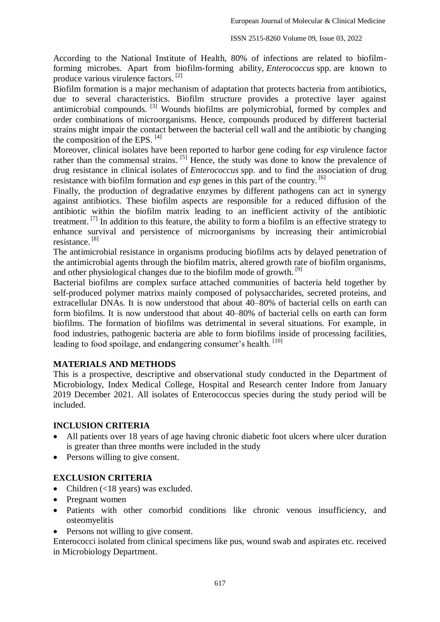According to the National Institute of Health, 80% of infections are related to biofilmforming microbes. Apart from biofilm-forming ability, *Enterococcus* spp*.* are known to produce various virulence factors. [2]

Biofilm formation is a major mechanism of adaptation that protects bacteria from antibiotics, due to several characteristics. Biofilm structure provides a protective layer against antimicrobial compounds. [3] Wounds biofilms are polymicrobial, formed by complex and order combinations of microorganisms. Hence, compounds produced by different bacterial strains might impair the contact between the bacterial cell wall and the antibiotic by changing the composition of the EPS.  $[4]$ 

Moreover, clinical isolates have been reported to harbor gene coding for *esp* virulence factor rather than the commensal strains.  $\left[5\right]$  Hence, the study was done to know the prevalence of drug resistance in clinical isolates of *Enterococcus* spp. and to find the association of drug resistance with biofilm formation and *esp* genes in this part of the country. [6]

Finally, the production of degradative enzymes by different pathogens can act in synergy against antibiotics. These biofilm aspects are responsible for a reduced diffusion of the antibiotic within the biofilm matrix leading to an inefficient activity of the antibiotic treatment.<sup>[7]</sup> In addition to this feature, the ability to form a biofilm is an effective strategy to enhance survival and persistence of microorganisms by increasing their antimicrobial resistance. [8]

The antimicrobial resistance in organisms producing biofilms acts by delayed penetration of the antimicrobial agents through the biofilm matrix, altered growth rate of biofilm organisms, and other physiological changes due to the biofilm mode of growth.<sup>[9]</sup>

Bacterial biofilms are complex surface attached communities of bacteria held together by self-produced polymer matrixs mainly composed of polysaccharides, secreted proteins, and extracellular DNAs. It is now understood that about 40–80% of bacterial cells on earth can form biofilms. It is now understood that about 40–80% of bacterial cells on earth can form biofilms. The formation of biofilms was detrimental in several situations. For example, in food industries, pathogenic bacteria are able to form biofilms inside of processing facilities, leading to food spoilage, and endangering consumer's health. [10]

## **MATERIALS AND METHODS**

This is a prospective, descriptive and observational study conducted in the Department of Microbiology, Index Medical College, Hospital and Research center Indore from January 2019 December 2021. All isolates of Enterococcus species during the study period will be included.

## **INCLUSION CRITERIA**

- All patients over 18 years of age having chronic diabetic foot ulcers where ulcer duration is greater than three months were included in the study
- Persons willing to give consent.

## **EXCLUSION CRITERIA**

- Children  $(<18$  years) was excluded.
- Pregnant women
- Patients with other comorbid conditions like chronic venous insufficiency, and osteomyelitis
- Persons not willing to give consent.

Enterococci isolated from clinical specimens like pus, wound swab and aspirates etc. received in Microbiology Department.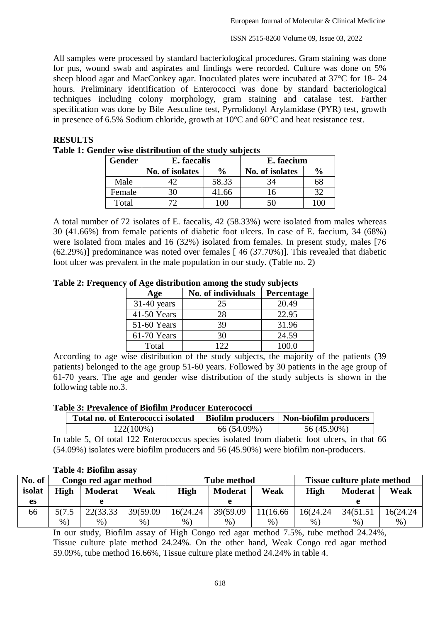ISSN 2515-8260 Volume 09, Issue 03, 2022

All samples were processed by standard bacteriological procedures. Gram staining was done for pus, wound swab and aspirates and findings were recorded. Culture was done on 5% sheep blood agar and MacConkey agar. Inoculated plates were incubated at 37°C for 18- 24 hours. Preliminary identification of Enterococci was done by standard bacteriological techniques including colony morphology, gram staining and catalase test. Farther specification was done by Bile Aesculine test, Pyrrolidonyl Arylamidase (PYR) test, growth in presence of 6.5% Sodium chloride, growth at 10°C and 60°C and heat resistance test.

| ruci wisc uistribution of the stuur subjects |                 |               |                 |               |  |  |  |  |
|----------------------------------------------|-----------------|---------------|-----------------|---------------|--|--|--|--|
| Gender                                       | E. faecalis     |               | E. faecium      |               |  |  |  |  |
|                                              | No. of isolates | $\frac{0}{0}$ | No. of isolates | $\frac{0}{0}$ |  |  |  |  |
| Male                                         |                 | 58.33         | 34              | 68            |  |  |  |  |
| Female                                       | 30              | 41.66         |                 |               |  |  |  |  |
| Total                                        |                 |               | 50              | 100           |  |  |  |  |

#### **RESULTS Table 1: Gender wise distribution of the study subjects**

A total number of 72 isolates of E. faecalis, 42 (58.33%) were isolated from males whereas 30 (41.66%) from female patients of diabetic foot ulcers. In case of E. faecium, 34 (68%) were isolated from males and 16 (32%) isolated from females. In present study, males [76] (62.29%)] predominance was noted over females [ 46 (37.70%)]. This revealed that diabetic foot ulcer was prevalent in the male population in our study. (Table no. 2)

## **Table 2: Frequency of Age distribution among the study subjects**

| Age           | No. of individuals | Percentage |
|---------------|--------------------|------------|
| $31-40$ years | 25                 | 20.49      |
| 41-50 Years   | 28                 | 22.95      |
| 51-60 Years   | 39                 | 31.96      |
| 61-70 Years   | 30                 | 24.59      |
| Total         | 122                | 100.0      |

According to age wise distribution of the study subjects, the majority of the patients (39 patients) belonged to the age group 51-60 years. Followed by 30 patients in the age group of 61-70 years. The age and gender wise distribution of the study subjects is shown in the following table no.3.

**Table 3: Prevalence of Biofilm Producer Enterococci**

| <b>Total no. of Enterococci isolated</b> |             | Biofilm producers   Non-biofilm producers |
|------------------------------------------|-------------|-------------------------------------------|
| 122(100%)                                | 66 (54.09%) | 56 (45.90%)                               |

In table 5, Of total 122 Enterococcus species isolated from diabetic foot ulcers, in that 66 (54.09%) isolates were biofilm producers and 56 (45.90%) were biofilm non-producers.

| No. of | Congo red agar method |                |           | <b>Tube method</b> |           |          | <b>Tissue culture plate method</b> |           |           |
|--------|-----------------------|----------------|-----------|--------------------|-----------|----------|------------------------------------|-----------|-----------|
| isolat | <b>High</b>           | <b>Moderat</b> | Weak      | <b>High</b>        | Moderat   | Weak     | High                               | Moderat   | Weak      |
| es     |                       |                |           |                    |           |          |                                    |           |           |
| 66     | 5(7.5)                | 22(33.33)      | 39(59.09) | 16(24.24)          | 39(59.09) | 1(16.66) | 16(24.24)                          | 34(51.51) | 16(24.24) |
|        | $%$ )                 | $\%$           | $%$ )     | $%$ )              | $\%$      | $\%$     | $\%$                               | $\%$      | $%$ )     |

**Table 4: Biofilm assay**

In our study, Biofilm assay of High Congo red agar method 7.5%, tube method 24.24%, Tissue culture plate method 24.24%. On the other hand, Weak Congo red agar method 59.09%, tube method 16.66%, Tissue culture plate method 24.24% in table 4.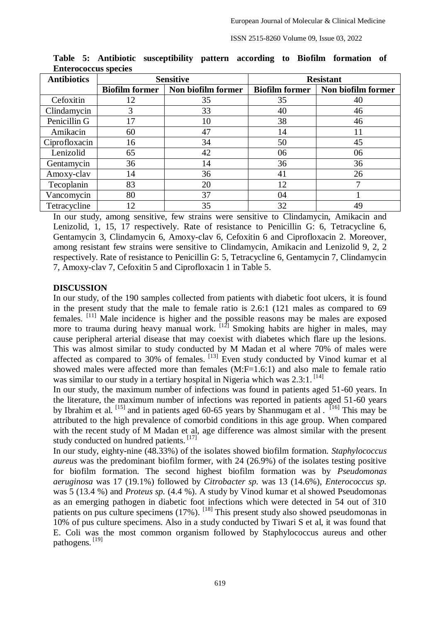| <b>Antibiotics</b> | <b>Sensitive</b>      |                    | <b>Resistant</b>      |                    |  |  |  |  |
|--------------------|-----------------------|--------------------|-----------------------|--------------------|--|--|--|--|
|                    | <b>Biofilm former</b> | Non biofilm former | <b>Biofilm former</b> | Non biofilm former |  |  |  |  |
| Cefoxitin          | 12                    | 35                 | 35                    | 40                 |  |  |  |  |
| Clindamycin        | 3                     | 33                 | 40                    | 46                 |  |  |  |  |
| Penicillin G       | 17                    | 10                 | 38                    | 46                 |  |  |  |  |
| Amikacin           | 60                    | 47                 | 14                    | 11                 |  |  |  |  |
| Ciprofloxacin      | 16                    | 34                 | 50                    | 45                 |  |  |  |  |
| Lenizolid          | 65                    | 42                 | 06                    | 06                 |  |  |  |  |
| Gentamycin         | 36                    | 14                 | 36                    | 36                 |  |  |  |  |
| Amoxy-clav         | 14                    | 36                 | 41                    | 26                 |  |  |  |  |
| Tecoplanin         | 83                    | 20                 | 12                    | 7                  |  |  |  |  |
| Vancomycin         | 80                    | 37                 | 04                    |                    |  |  |  |  |
| Tetracycline       | 12                    | 35                 | 32                    | 49                 |  |  |  |  |

**Table 5: Antibiotic susceptibility pattern according to Biofilm formation of Enterococcus species** 

In our study, among sensitive, few strains were sensitive to Clindamycin, Amikacin and Lenizolid, 1, 15, 17 respectively. Rate of resistance to Penicillin G: 6, Tetracycline 6, Gentamycin 3, Clindamycin 6, Amoxy-clav 6, Cefoxitin 6 and Ciprofloxacin 2. Moreover, among resistant few strains were sensitive to Clindamycin, Amikacin and Lenizolid 9, 2, 2 respectively. Rate of resistance to Penicillin G: 5, Tetracycline 6, Gentamycin 7, Clindamycin 7, Amoxy-clav 7, Cefoxitin 5 and Ciprofloxacin 1 in Table 5.

#### **DISCUSSION**

In our study, of the 190 samples collected from patients with diabetic foot ulcers, it is found in the present study that the male to female ratio is 2.6:1 (121 males as compared to 69 females. [11] Male incidence is higher and the possible reasons may be males are exposed more to trauma during heavy manual work.  $[12]$  Smoking habits are higher in males, may cause peripheral arterial disease that may coexist with diabetes which flare up the lesions. This was almost similar to study conducted by M Madan et al where 70% of males were affected as compared to  $30\%$  of females.  $^{[13]}$  Even study conducted by Vinod kumar et al showed males were affected more than females (M:F=1.6:1) and also male to female ratio was similar to our study in a tertiary hospital in Nigeria which was 2.3:1.<sup>[14]</sup>

In our study, the maximum number of infections was found in patients aged 51-60 years. In the literature, the maximum number of infections was reported in patients aged 51-60 years by Ibrahim et al.  $^{[15]}$  and in patients aged 60-65 years by Shanmugam et al.  $^{[16]}$  This may be attributed to the high prevalence of comorbid conditions in this age group. When compared with the recent study of M Madan et al, age difference was almost similar with the present study conducted on hundred patients.  $\begin{bmatrix} 17 \end{bmatrix}$ 

In our study, eighty-nine (48.33%) of the isolates showed biofilm formation. *Staphylococcus aureus* was the predominant biofilm former, with 24 (26.9%) of the isolates testing positive for biofilm formation. The second highest biofilm formation was by *Pseudomonas aeruginosa* was 17 (19.1%) followed by *Citrobacter sp.* was 13 (14.6%), *Enterococcus sp.*  was 5 (13.4 %) and *Proteus sp.* (4.4 %). A study by Vinod kumar et al showed Pseudomonas as an emerging pathogen in diabetic foot infections which were detected in 54 out of 310 patients on pus culture specimens (17%). <sup>[18]</sup> This present study also showed pseudomonas in 10% of pus culture specimens. Also in a study conducted by Tiwari S et al, it was found that E. Coli was the most common organism followed by Staphylococcus aureus and other pathogens. [19]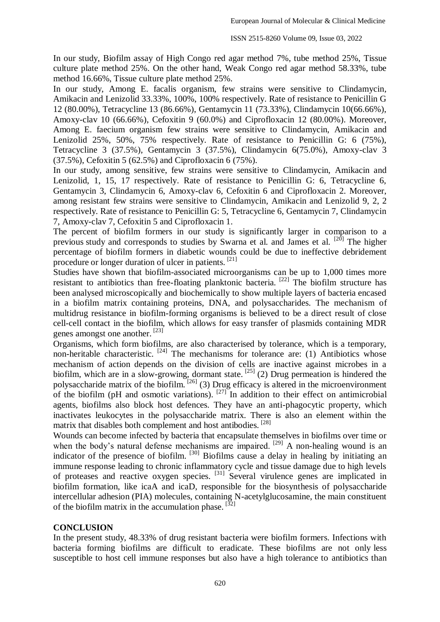In our study, Biofilm assay of High Congo red agar method 7%, tube method 25%, Tissue culture plate method 25%. On the other hand, Weak Congo red agar method 58.33%, tube method 16.66%, Tissue culture plate method 25%.

In our study, Among E. facalis organism, few strains were sensitive to Clindamycin, Amikacin and Lenizolid 33.33%, 100%, 100% respectively. Rate of resistance to Penicillin G 12 (80.00%), Tetracycline 13 (86.66%), Gentamycin 11 (73.33%), Clindamycin 10(66.66%), Amoxy-clav 10 (66.66%), Cefoxitin 9 (60.0%) and Ciprofloxacin 12 (80.00%). Moreover, Among E. faecium organism few strains were sensitive to Clindamycin, Amikacin and Lenizolid 25%, 50%, 75% respectively. Rate of resistance to Penicillin G: 6 (75%), Tetracycline 3 (37.5%), Gentamycin 3 (37.5%), Clindamycin 6(75.0%), Amoxy-clav 3 (37.5%), Cefoxitin 5 (62.5%) and Ciprofloxacin 6 (75%).

In our study, among sensitive, few strains were sensitive to Clindamycin, Amikacin and Lenizolid, 1, 15, 17 respectively. Rate of resistance to Penicillin G: 6, Tetracycline 6, Gentamycin 3, Clindamycin 6, Amoxy-clav 6, Cefoxitin 6 and Ciprofloxacin 2. Moreover, among resistant few strains were sensitive to Clindamycin, Amikacin and Lenizolid 9, 2, 2 respectively. Rate of resistance to Penicillin G: 5, Tetracycline 6, Gentamycin 7, Clindamycin 7, Amoxy-clav 7, Cefoxitin 5 and Ciprofloxacin 1.

The percent of biofilm formers in our study is significantly larger in comparison to a previous study and corresponds to studies by Swarna et al. and James et al. <sup>[20]</sup> The higher percentage of biofilm formers in diabetic wounds could be due to ineffective debridement procedure or longer duration of ulcer in patients. [21]

Studies have shown that biofilm-associated microorganisms can be up to 1,000 times more resistant to antibiotics than free-floating planktonic bacteria. <sup>[22]</sup> The biofilm structure has been analysed microscopically and biochemically to show multiple layers of bacteria encased in a biofilm matrix containing proteins, DNA, and polysaccharides. The mechanism of multidrug resistance in biofilm-forming organisms is believed to be a direct result of close cell-cell contact in the biofilm, which allows for easy transfer of plasmids containing MDR genes amongst one another. [23]

Organisms, which form biofilms, are also characterised by tolerance, which is a temporary, non-heritable characteristic.  $[24]$  The mechanisms for tolerance are: (1) Antibiotics whose mechanism of action depends on the division of cells are inactive against microbes in a biofilm, which are in a slow-growing, dormant state.  $^{[25]}$  (2) Drug permeation is hindered the polysaccharide matrix of the biofilm.<sup>[26]</sup> (3) Drug efficacy is altered in the microenvironment of the biofilm (pH and osmotic variations).  $[27]$  In addition to their effect on antimicrobial agents, biofilms also block host defences. They have an anti-phagocytic property, which inactivates leukocytes in the polysaccharide matrix. There is also an element within the matrix that disables both complement and host antibodies. [28]

Wounds can become infected by bacteria that encapsulate themselves in biofilms over time or when the body's natural defense mechanisms are impaired.  $[29]$  A non-healing wound is an indicator of the presence of biofilm.  $\left[30\right]$  Biofilms cause a delay in healing by initiating an immune response leading to chronic inflammatory cycle and tissue damage due to high levels of proteases and reactive oxygen species. <sup>[31]</sup> Several virulence genes are implicated in biofilm formation, like icaA and icaD, responsible for the biosynthesis of polysaccharide intercellular adhesion (PIA) molecules, containing N-acetylglucosamine, the main constituent of the biofilm matrix in the accumulation phase.  $\left[32\right]$ 

#### **CONCLUSION**

In the present study, 48.33% of drug resistant bacteria were biofilm formers. Infections with bacteria forming biofilms are difficult to eradicate. These biofilms are not only less susceptible to host cell immune responses but also have a high tolerance to antibiotics than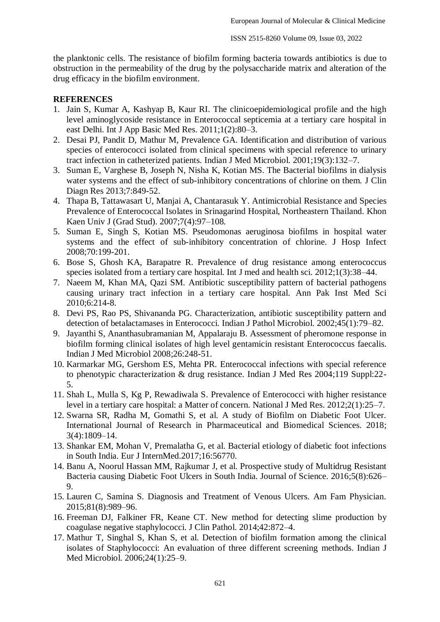the planktonic cells. The resistance of biofilm forming bacteria towards antibiotics is due to obstruction in the permeability of the drug by the polysaccharide matrix and alteration of the drug efficacy in the biofilm environment.

## **REFERENCES**

- 1. Jain S, Kumar A, Kashyap B, Kaur RI. The clinicoepidemiological profile and the high level aminoglycoside resistance in Enterococcal septicemia at a tertiary care hospital in east Delhi. Int J App Basic Med Res. 2011;1(2):80–3.
- 2. Desai PJ, Pandit D, Mathur M, Prevalence GA. Identification and distribution of various species of enterococci isolated from clinical specimens with special reference to urinary tract infection in catheterized patients. Indian J Med Microbiol. 2001;19(3):132–7.
- 3. Suman E, Varghese B, Joseph N, Nisha K, Kotian MS. The Bacterial biofilms in dialysis water systems and the effect of sub-inhibitory concentrations of chlorine on them. J Clin Diagn Res 2013;7:849-52.
- 4. Thapa B, Tattawasart U, Manjai A, Chantarasuk Y. Antimicrobial Resistance and Species Prevalence of Enterococcal Isolates in Srinagarind Hospital, Northeastern Thailand. Khon Kaen Univ J (Grad Stud). 2007;7(4):97–108.
- 5. Suman E, Singh S, Kotian MS. Pseudomonas aeruginosa biofilms in hospital water systems and the effect of sub-inhibitory concentration of chlorine. J Hosp Infect 2008;70:199-201.
- 6. Bose S, Ghosh KA, Barapatre R. Prevalence of drug resistance among enterococcus species isolated from a tertiary care hospital. Int J med and health sci. 2012;1(3):38–44.
- 7. Naeem M, Khan MA, Qazi SM. Antibiotic susceptibility pattern of bacterial pathogens causing urinary tract infection in a tertiary care hospital. Ann Pak Inst Med Sci 2010;6:214-8.
- 8. Devi PS, Rao PS, Shivananda PG. Characterization, antibiotic susceptibility pattern and detection of betalactamases in Enterococci. Indian J Pathol Microbiol. 2002;45(1):79–82.
- 9. Jayanthi S, Ananthasubramanian M, Appalaraju B. Assessment of pheromone response in biofilm forming clinical isolates of high level gentamicin resistant Enterococcus faecalis. Indian J Med Microbiol 2008;26:248-51.
- 10. Karmarkar MG, Gershom ES, Mehta PR. Enterococcal infections with special reference to phenotypic characterization & drug resistance. Indian J Med Res 2004;119 Suppl:22- 5.
- 11. Shah L, Mulla S, Kg P, Rewadiwala S. Prevalence of Enterococci with higher resistance level in a tertiary care hospital: a Matter of concern. National J Med Res. 2012;2(1):25–7.
- 12. Swarna SR, Radha M, Gomathi S, et al. A study of Biofilm on Diabetic Foot Ulcer. International Journal of Research in Pharmaceutical and Biomedical Sciences. 2018; 3(4):1809–14.
- 13. Shankar EM, Mohan V, Premalatha G, et al. Bacterial etiology of diabetic foot infections in South India. Eur J InternMed.2017;16:56770.
- 14. Banu A, Noorul Hassan MM, Rajkumar J, et al. Prospective study of Multidrug Resistant Bacteria causing Diabetic Foot Ulcers in South India. Journal of Science. 2016;5(8):626– 9.
- 15. Lauren C, Samina S. Diagnosis and Treatment of Venous Ulcers. Am Fam Physician. 2015;81(8):989–96.
- 16. Freeman DJ, Falkiner FR, Keane CT. New method for detecting slime production by coagulase negative staphylococci. J Clin Pathol. 2014;42:872–4.
- 17. Mathur T, Singhal S, Khan S, et al. Detection of biofilm formation among the clinical isolates of Staphylococci: An evaluation of three different screening methods. Indian J Med Microbiol. 2006;24(1):25–9.